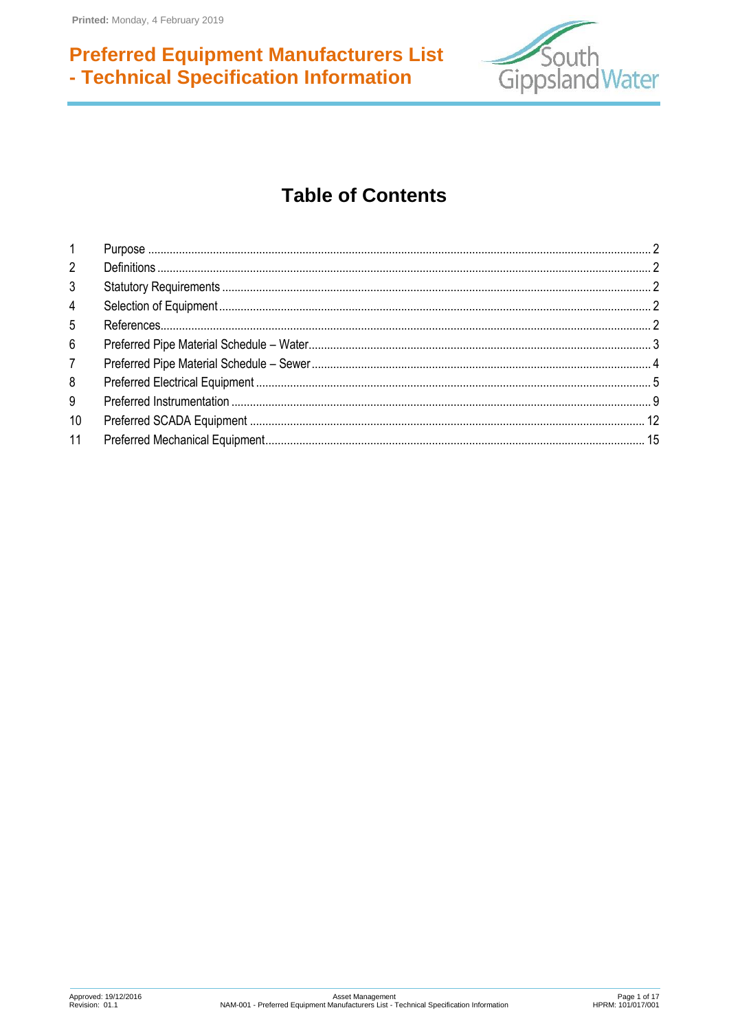Printed: Monday, 4 February 2019

## **Preferred Equipment Manufacturers List** - Technical Specification Information



# **Table of Contents**

| $\mathbf{1}$   |  |
|----------------|--|
| $\overline{2}$ |  |
| $\mathfrak{Z}$ |  |
| $\overline{4}$ |  |
| 5              |  |
| 6              |  |
| $7^{\circ}$    |  |
| 8              |  |
| 9              |  |
| 10             |  |
| 11             |  |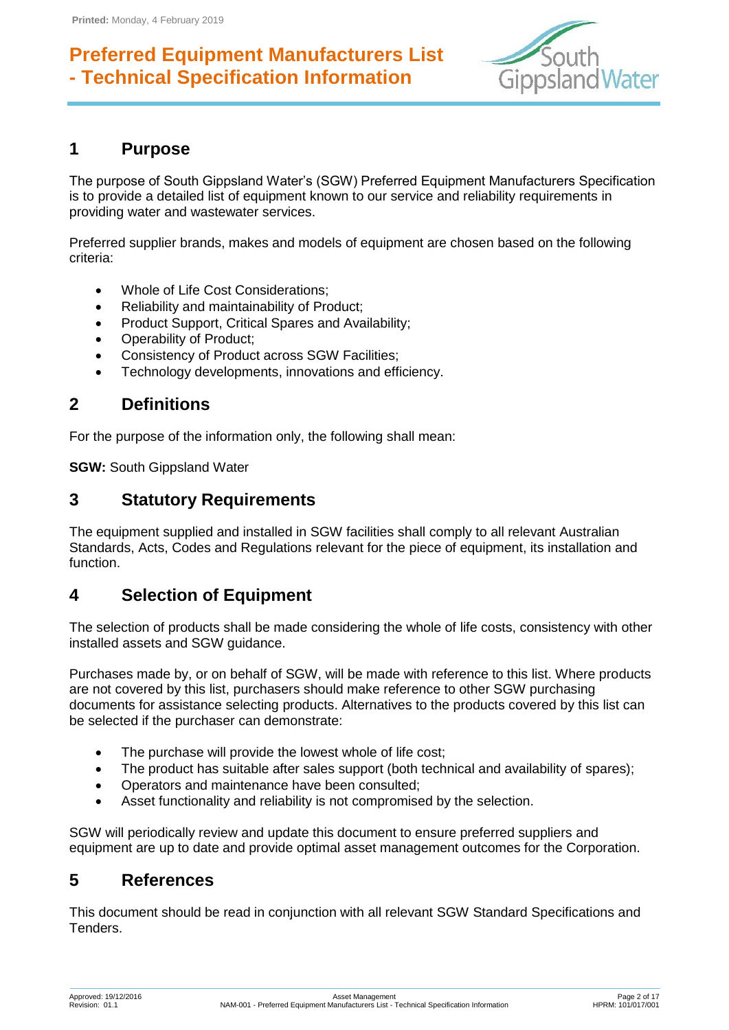

#### <span id="page-1-0"></span>**1 Purpose**

The purpose of South Gippsland Water's (SGW) Preferred Equipment Manufacturers Specification is to provide a detailed list of equipment known to our service and reliability requirements in providing water and wastewater services.

Preferred supplier brands, makes and models of equipment are chosen based on the following criteria:

- Whole of Life Cost Considerations:
- Reliability and maintainability of Product:
- Product Support, Critical Spares and Availability;
- Operability of Product;
- Consistency of Product across SGW Facilities;
- Technology developments, innovations and efficiency.

#### <span id="page-1-1"></span>**2 Definitions**

For the purpose of the information only, the following shall mean:

<span id="page-1-2"></span>**SGW:** South Gippsland Water

#### **3 Statutory Requirements**

The equipment supplied and installed in SGW facilities shall comply to all relevant Australian Standards, Acts, Codes and Regulations relevant for the piece of equipment, its installation and function.

#### <span id="page-1-3"></span>**4 Selection of Equipment**

The selection of products shall be made considering the whole of life costs, consistency with other installed assets and SGW guidance.

Purchases made by, or on behalf of SGW, will be made with reference to this list. Where products are not covered by this list, purchasers should make reference to other SGW purchasing documents for assistance selecting products. Alternatives to the products covered by this list can be selected if the purchaser can demonstrate:

- The purchase will provide the lowest whole of life cost;
- The product has suitable after sales support (both technical and availability of spares);
- Operators and maintenance have been consulted:
- Asset functionality and reliability is not compromised by the selection.

SGW will periodically review and update this document to ensure preferred suppliers and equipment are up to date and provide optimal asset management outcomes for the Corporation.

#### <span id="page-1-4"></span>**5 References**

This document should be read in conjunction with all relevant SGW Standard Specifications and Tenders.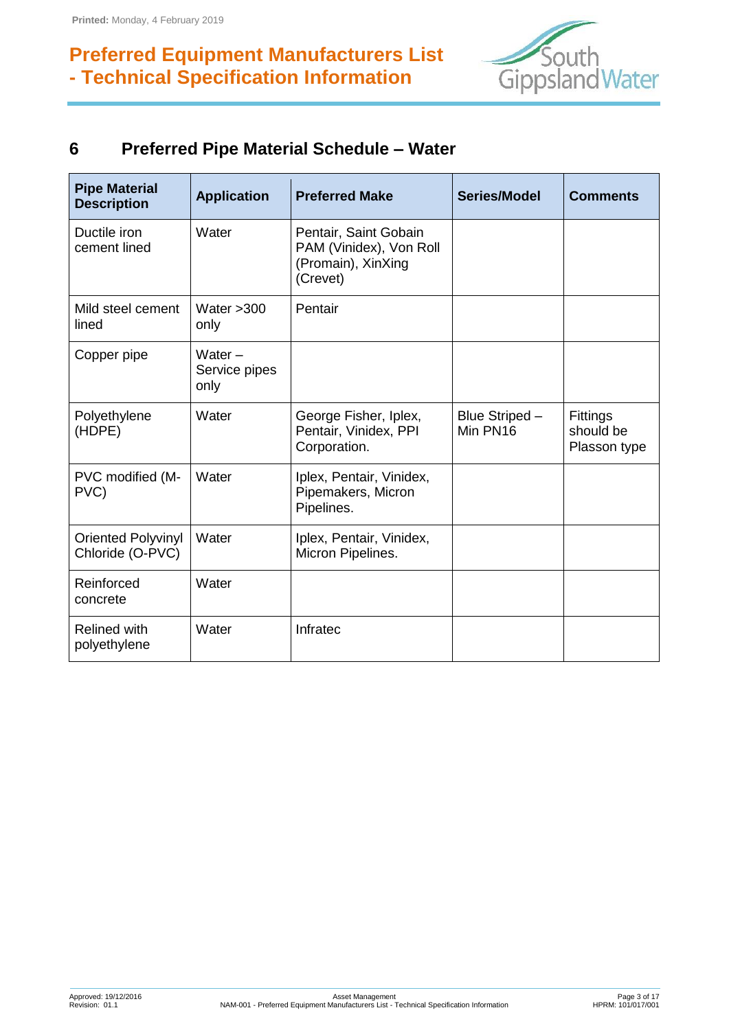

#### <span id="page-2-0"></span>**6 Preferred Pipe Material Schedule – Water**

| <b>Pipe Material</b><br><b>Description</b> | <b>Application</b>                 | <b>Preferred Make</b>                                                              | <b>Series/Model</b>        | <b>Comments</b>                       |
|--------------------------------------------|------------------------------------|------------------------------------------------------------------------------------|----------------------------|---------------------------------------|
| Ductile iron<br>cement lined               | Water                              | Pentair, Saint Gobain<br>PAM (Vinidex), Von Roll<br>(Promain), XinXing<br>(Crevet) |                            |                                       |
| Mild steel cement<br>lined                 | Water $>300$<br>only               | Pentair                                                                            |                            |                                       |
| Copper pipe                                | Water $-$<br>Service pipes<br>only |                                                                                    |                            |                                       |
| Polyethylene<br>(HDPE)                     | Water                              | George Fisher, Iplex,<br>Pentair, Vinidex, PPI<br>Corporation.                     | Blue Striped -<br>Min PN16 | Fittings<br>should be<br>Plasson type |
| PVC modified (M-<br>PVC)                   | Water                              | Iplex, Pentair, Vinidex,<br>Pipemakers, Micron<br>Pipelines.                       |                            |                                       |
| Oriented Polyvinyl<br>Chloride (O-PVC)     | Water                              | Iplex, Pentair, Vinidex,<br>Micron Pipelines.                                      |                            |                                       |
| Reinforced<br>concrete                     | Water                              |                                                                                    |                            |                                       |
| <b>Relined with</b><br>polyethylene        | Water                              | Infratec                                                                           |                            |                                       |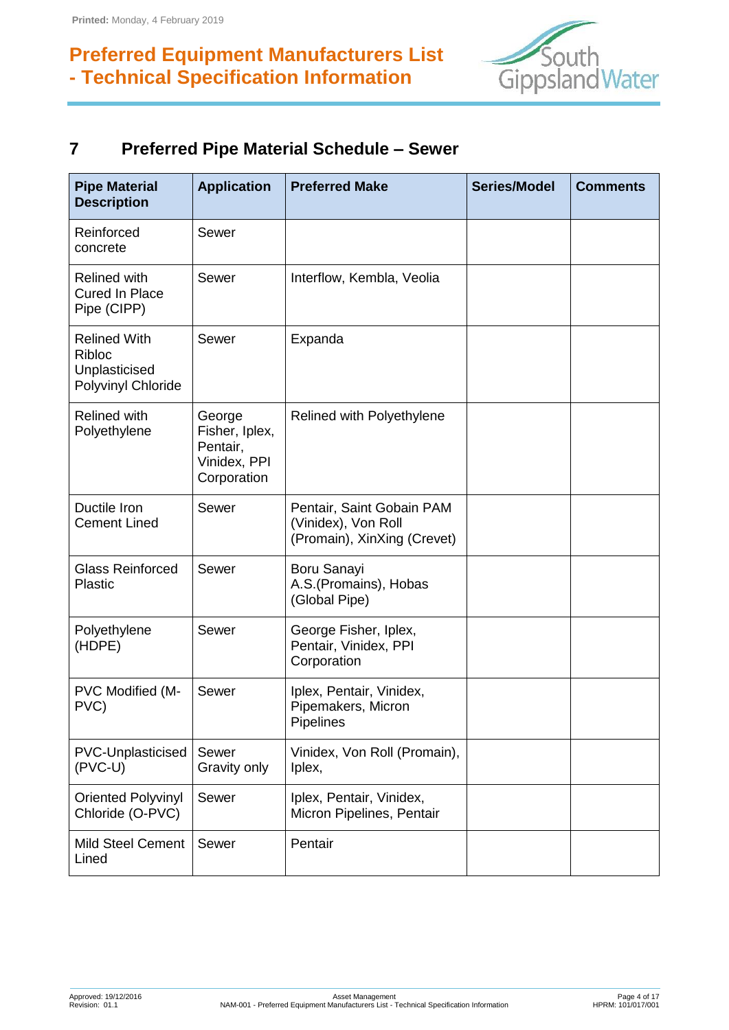

#### <span id="page-3-0"></span>**7 Preferred Pipe Material Schedule – Sewer**

| <b>Pipe Material</b><br><b>Description</b>                                  | <b>Application</b>                                                  | <b>Preferred Make</b>                                                           | <b>Series/Model</b> | <b>Comments</b> |
|-----------------------------------------------------------------------------|---------------------------------------------------------------------|---------------------------------------------------------------------------------|---------------------|-----------------|
| Reinforced<br>concrete                                                      | Sewer                                                               |                                                                                 |                     |                 |
| <b>Relined with</b><br><b>Cured In Place</b><br>Pipe (CIPP)                 | Sewer                                                               | Interflow, Kembla, Veolia                                                       |                     |                 |
| <b>Relined With</b><br><b>Ribloc</b><br>Unplasticised<br>Polyvinyl Chloride | Sewer                                                               | Expanda                                                                         |                     |                 |
| <b>Relined with</b><br>Polyethylene                                         | George<br>Fisher, Iplex,<br>Pentair,<br>Vinidex, PPI<br>Corporation | Relined with Polyethylene                                                       |                     |                 |
| Ductile Iron<br><b>Cement Lined</b>                                         | Sewer                                                               | Pentair, Saint Gobain PAM<br>(Vinidex), Von Roll<br>(Promain), XinXing (Crevet) |                     |                 |
| <b>Glass Reinforced</b><br><b>Plastic</b>                                   | Sewer                                                               | Boru Sanayi<br>A.S.(Promains), Hobas<br>(Global Pipe)                           |                     |                 |
| Polyethylene<br>(HDPE)                                                      | Sewer                                                               | George Fisher, Iplex,<br>Pentair, Vinidex, PPI<br>Corporation                   |                     |                 |
| PVC Modified (M-<br>PVC)                                                    | Sewer                                                               | Iplex, Pentair, Vinidex,<br>Pipemakers, Micron<br>Pipelines                     |                     |                 |
| PVC-Unplasticised<br>(PVC-U)                                                | Sewer<br>Gravity only                                               | Vinidex, Von Roll (Promain),<br>Iplex,                                          |                     |                 |
| <b>Oriented Polyvinyl</b><br>Chloride (O-PVC)                               | Sewer                                                               | Iplex, Pentair, Vinidex,<br>Micron Pipelines, Pentair                           |                     |                 |
| <b>Mild Steel Cement</b><br>Lined                                           | Sewer                                                               | Pentair                                                                         |                     |                 |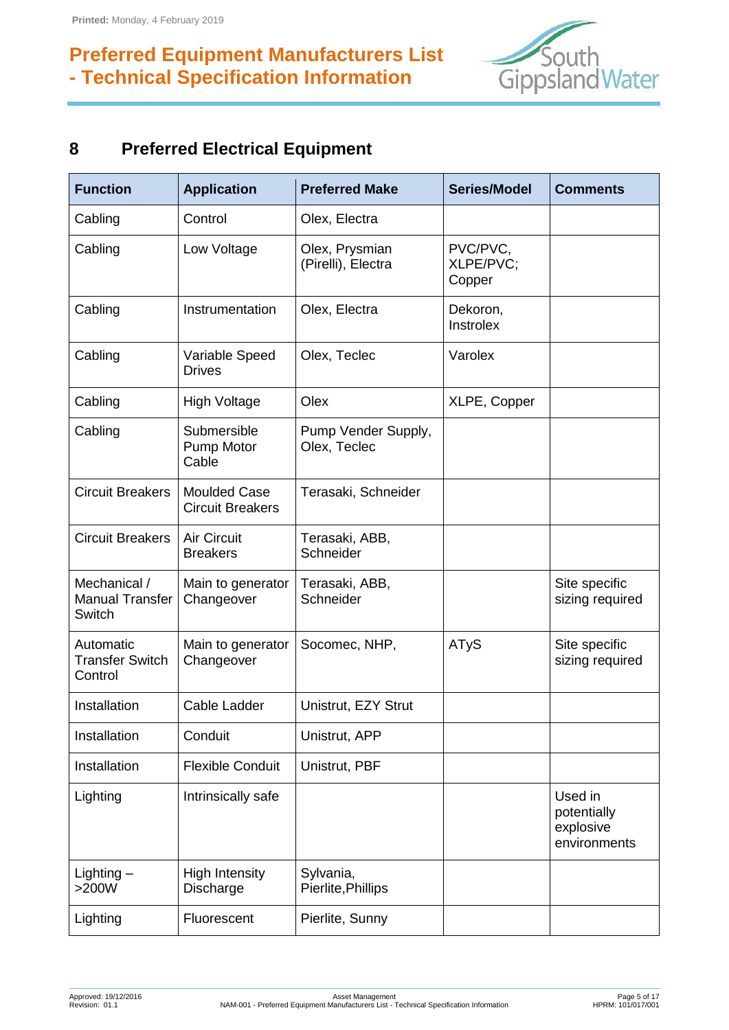

#### <span id="page-4-0"></span>**8 Preferred Electrical Equipment**

| <b>Function</b>                                  | <b>Application</b>                             | <b>Preferred Make</b>                | Series/Model                    | <b>Comments</b>                                     |
|--------------------------------------------------|------------------------------------------------|--------------------------------------|---------------------------------|-----------------------------------------------------|
| Cabling                                          | Control                                        | Olex, Electra                        |                                 |                                                     |
| Cabling                                          | Low Voltage                                    | Olex, Prysmian<br>(Pirelli), Electra | PVC/PVC,<br>XLPE/PVC;<br>Copper |                                                     |
| Cabling                                          | Instrumentation                                | Olex, Electra                        | Dekoron,<br>Instrolex           |                                                     |
| Cabling                                          | Variable Speed<br><b>Drives</b>                | Olex, Teclec                         | Varolex                         |                                                     |
| Cabling                                          | <b>High Voltage</b>                            | Olex                                 | XLPE, Copper                    |                                                     |
| Cabling                                          | Submersible<br>Pump Motor<br>Cable             | Pump Vender Supply,<br>Olex, Teclec  |                                 |                                                     |
| <b>Circuit Breakers</b>                          | <b>Moulded Case</b><br><b>Circuit Breakers</b> | Terasaki, Schneider                  |                                 |                                                     |
| <b>Circuit Breakers</b>                          | <b>Air Circuit</b><br><b>Breakers</b>          | Terasaki, ABB,<br>Schneider          |                                 |                                                     |
| Mechanical /<br><b>Manual Transfer</b><br>Switch | Main to generator<br>Changeover                | Terasaki, ABB,<br>Schneider          |                                 | Site specific<br>sizing required                    |
| Automatic<br><b>Transfer Switch</b><br>Control   | Main to generator<br>Changeover                | Socomec, NHP,                        | <b>ATyS</b>                     | Site specific<br>sizing required                    |
| Installation                                     | Cable Ladder                                   | Unistrut, EZY Strut                  |                                 |                                                     |
| Installation                                     | Conduit                                        | Unistrut, APP                        |                                 |                                                     |
| Installation                                     | <b>Flexible Conduit</b>                        | Unistrut, PBF                        |                                 |                                                     |
| Lighting                                         | Intrinsically safe                             |                                      |                                 | Used in<br>potentially<br>explosive<br>environments |
| Lighting $-$<br>>200W                            | <b>High Intensity</b><br>Discharge             | Sylvania,<br>Pierlite, Phillips      |                                 |                                                     |
| Lighting                                         | Fluorescent                                    | Pierlite, Sunny                      |                                 |                                                     |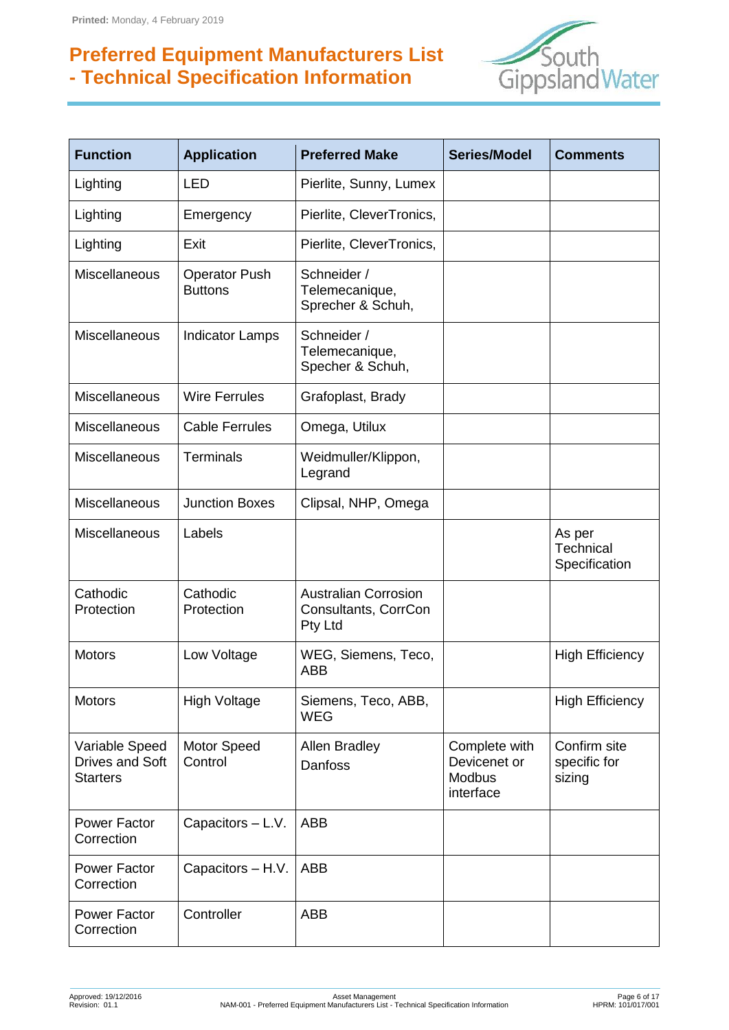

| <b>Function</b>                                      | <b>Application</b>                     | <b>Preferred Make</b>                                          | <b>Series/Model</b>                                         | <b>Comments</b>                        |
|------------------------------------------------------|----------------------------------------|----------------------------------------------------------------|-------------------------------------------------------------|----------------------------------------|
| Lighting                                             | <b>LED</b>                             | Pierlite, Sunny, Lumex                                         |                                                             |                                        |
| Lighting                                             | Emergency                              | Pierlite, CleverTronics,                                       |                                                             |                                        |
| Lighting                                             | Exit                                   | Pierlite, CleverTronics,                                       |                                                             |                                        |
| <b>Miscellaneous</b>                                 | <b>Operator Push</b><br><b>Buttons</b> | Schneider /<br>Telemecanique,<br>Sprecher & Schuh,             |                                                             |                                        |
| <b>Miscellaneous</b>                                 | <b>Indicator Lamps</b>                 | Schneider /<br>Telemecanique,<br>Specher & Schuh,              |                                                             |                                        |
| <b>Miscellaneous</b>                                 | <b>Wire Ferrules</b>                   | Grafoplast, Brady                                              |                                                             |                                        |
| <b>Miscellaneous</b>                                 | <b>Cable Ferrules</b>                  | Omega, Utilux                                                  |                                                             |                                        |
| <b>Miscellaneous</b>                                 | <b>Terminals</b>                       | Weidmuller/Klippon,<br>Legrand                                 |                                                             |                                        |
| Miscellaneous                                        | <b>Junction Boxes</b>                  | Clipsal, NHP, Omega                                            |                                                             |                                        |
| <b>Miscellaneous</b>                                 | Labels                                 |                                                                |                                                             | As per<br>Technical<br>Specification   |
| Cathodic<br>Protection                               | Cathodic<br>Protection                 | <b>Australian Corrosion</b><br>Consultants, CorrCon<br>Pty Ltd |                                                             |                                        |
| <b>Motors</b>                                        | Low Voltage                            | WEG, Siemens, Teco,<br><b>ABB</b>                              |                                                             | <b>High Efficiency</b>                 |
| <b>Motors</b>                                        | <b>High Voltage</b>                    | Siemens, Teco, ABB,<br><b>WEG</b>                              |                                                             | <b>High Efficiency</b>                 |
| Variable Speed<br>Drives and Soft<br><b>Starters</b> | Motor Speed<br>Control                 | <b>Allen Bradley</b><br>Danfoss                                | Complete with<br>Devicenet or<br><b>Modbus</b><br>interface | Confirm site<br>specific for<br>sizing |
| <b>Power Factor</b><br>Correction                    | Capacitors - L.V.                      | <b>ABB</b>                                                     |                                                             |                                        |
| <b>Power Factor</b><br>Correction                    | Capacitors - H.V.                      | ABB                                                            |                                                             |                                        |
| Power Factor<br>Correction                           | Controller                             | ABB                                                            |                                                             |                                        |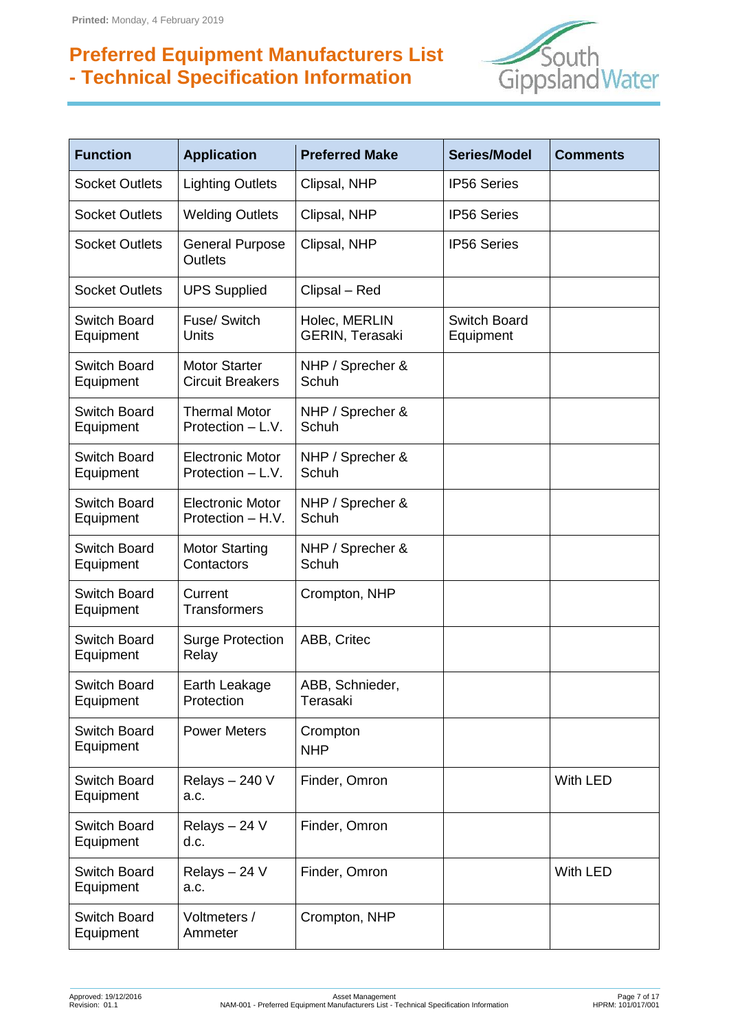

| <b>Function</b>                  | <b>Application</b>                              | <b>Preferred Make</b>                   | <b>Series/Model</b>              | <b>Comments</b> |
|----------------------------------|-------------------------------------------------|-----------------------------------------|----------------------------------|-----------------|
| <b>Socket Outlets</b>            | <b>Lighting Outlets</b>                         | Clipsal, NHP                            | <b>IP56 Series</b>               |                 |
| <b>Socket Outlets</b>            | <b>Welding Outlets</b>                          | Clipsal, NHP                            | <b>IP56 Series</b>               |                 |
| <b>Socket Outlets</b>            | <b>General Purpose</b><br>Outlets               | Clipsal, NHP                            | <b>IP56 Series</b>               |                 |
| <b>Socket Outlets</b>            | <b>UPS Supplied</b>                             | Clipsal - Red                           |                                  |                 |
| <b>Switch Board</b><br>Equipment | Fuse/ Switch<br>Units                           | Holec, MERLIN<br><b>GERIN, Terasaki</b> | <b>Switch Board</b><br>Equipment |                 |
| <b>Switch Board</b><br>Equipment | <b>Motor Starter</b><br><b>Circuit Breakers</b> | NHP / Sprecher &<br>Schuh               |                                  |                 |
| <b>Switch Board</b><br>Equipment | <b>Thermal Motor</b><br>Protection - L.V.       | NHP / Sprecher &<br>Schuh               |                                  |                 |
| <b>Switch Board</b><br>Equipment | <b>Electronic Motor</b><br>Protection - L.V.    | NHP / Sprecher &<br>Schuh               |                                  |                 |
| <b>Switch Board</b><br>Equipment | <b>Electronic Motor</b><br>Protection - H.V.    | NHP / Sprecher &<br>Schuh               |                                  |                 |
| <b>Switch Board</b><br>Equipment | <b>Motor Starting</b><br>Contactors             | NHP / Sprecher &<br>Schuh               |                                  |                 |
| <b>Switch Board</b><br>Equipment | Current<br><b>Transformers</b>                  | Crompton, NHP                           |                                  |                 |
| <b>Switch Board</b><br>Equipment | <b>Surge Protection</b><br>Relay                | ABB, Critec                             |                                  |                 |
| Switch Board<br>Equipment        | Earth Leakage<br>Protection                     | ABB, Schnieder,<br>Terasaki             |                                  |                 |
| <b>Switch Board</b><br>Equipment | <b>Power Meters</b>                             | Crompton<br><b>NHP</b>                  |                                  |                 |
| <b>Switch Board</b><br>Equipment | Relays - 240 V<br>a.c.                          | Finder, Omron                           |                                  | With LED        |
| <b>Switch Board</b><br>Equipment | Relays - 24 V<br>d.c.                           | Finder, Omron                           |                                  |                 |
| <b>Switch Board</b><br>Equipment | Relays - 24 V<br>a.c.                           | Finder, Omron                           |                                  | With LED        |
| <b>Switch Board</b><br>Equipment | Voltmeters /<br>Ammeter                         | Crompton, NHP                           |                                  |                 |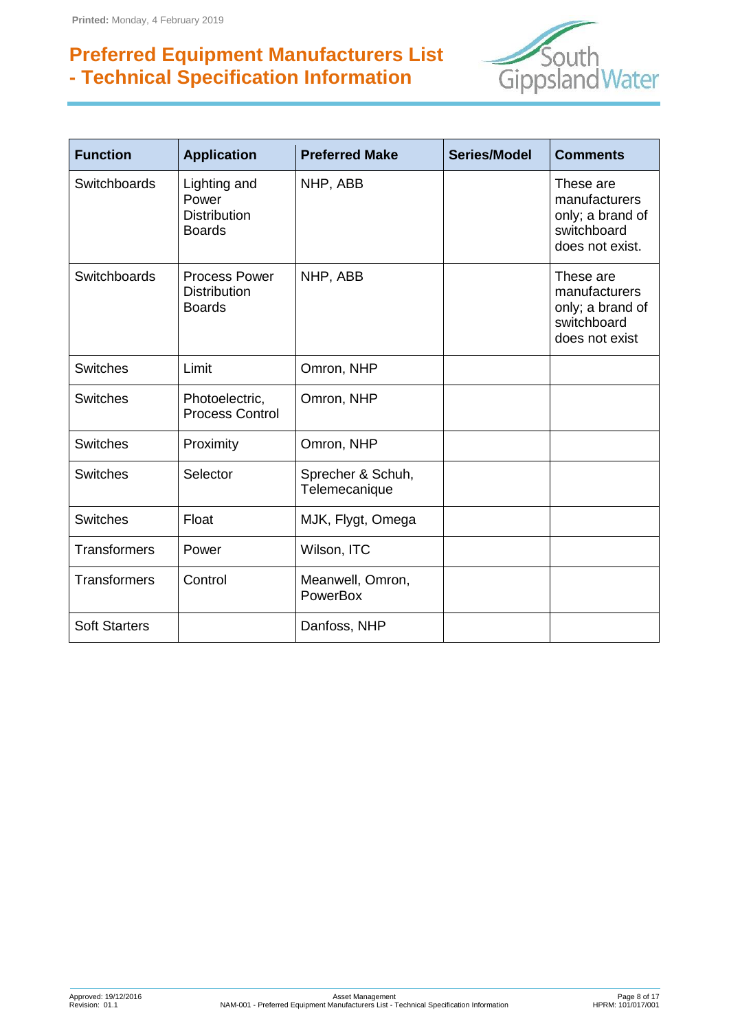

| <b>Function</b>      | <b>Application</b>                                            | <b>Preferred Make</b>               | Series/Model | <b>Comments</b>                                                                  |
|----------------------|---------------------------------------------------------------|-------------------------------------|--------------|----------------------------------------------------------------------------------|
| Switchboards         | Lighting and<br>Power<br><b>Distribution</b><br><b>Boards</b> | NHP, ABB                            |              | These are<br>manufacturers<br>only; a brand of<br>switchboard<br>does not exist. |
| Switchboards         | <b>Process Power</b><br><b>Distribution</b><br><b>Boards</b>  | NHP, ABB                            |              | These are<br>manufacturers<br>only; a brand of<br>switchboard<br>does not exist  |
| <b>Switches</b>      | Limit                                                         | Omron, NHP                          |              |                                                                                  |
| <b>Switches</b>      | Photoelectric,<br><b>Process Control</b>                      | Omron, NHP                          |              |                                                                                  |
| <b>Switches</b>      | Proximity                                                     | Omron, NHP                          |              |                                                                                  |
| <b>Switches</b>      | Selector                                                      | Sprecher & Schuh,<br>Telemecanique  |              |                                                                                  |
| <b>Switches</b>      | Float                                                         | MJK, Flygt, Omega                   |              |                                                                                  |
| Transformers         | Power                                                         | Wilson, ITC                         |              |                                                                                  |
| <b>Transformers</b>  | Control                                                       | Meanwell, Omron,<br><b>PowerBox</b> |              |                                                                                  |
| <b>Soft Starters</b> |                                                               | Danfoss, NHP                        |              |                                                                                  |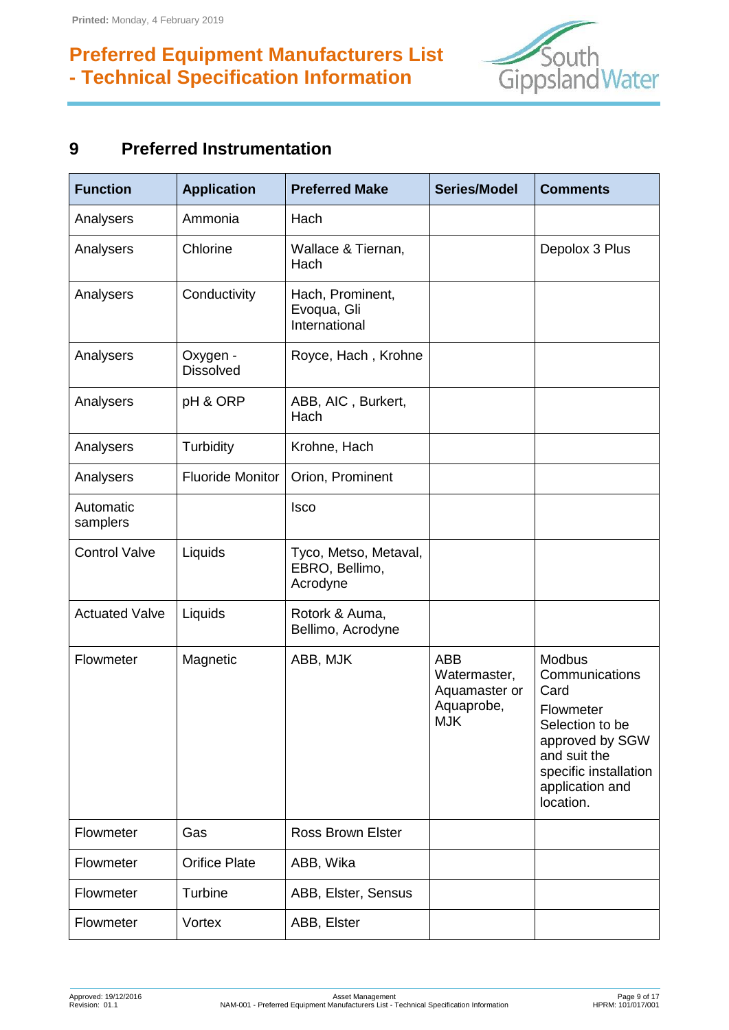

#### <span id="page-8-0"></span>**9 Preferred Instrumentation**

| <b>Function</b>       | <b>Application</b>           | <b>Preferred Make</b>                               | <b>Series/Model</b>                                                     | <b>Comments</b>                                                                                                                                                     |
|-----------------------|------------------------------|-----------------------------------------------------|-------------------------------------------------------------------------|---------------------------------------------------------------------------------------------------------------------------------------------------------------------|
| Analysers             | Ammonia                      | Hach                                                |                                                                         |                                                                                                                                                                     |
| Analysers             | Chlorine                     | Wallace & Tiernan,<br>Hach                          |                                                                         | Depolox 3 Plus                                                                                                                                                      |
| Analysers             | Conductivity                 | Hach, Prominent,<br>Evoqua, Gli<br>International    |                                                                         |                                                                                                                                                                     |
| Analysers             | Oxygen -<br><b>Dissolved</b> | Royce, Hach, Krohne                                 |                                                                         |                                                                                                                                                                     |
| Analysers             | pH & ORP                     | ABB, AIC, Burkert,<br>Hach                          |                                                                         |                                                                                                                                                                     |
| Analysers             | Turbidity                    | Krohne, Hach                                        |                                                                         |                                                                                                                                                                     |
| Analysers             | <b>Fluoride Monitor</b>      | Orion, Prominent                                    |                                                                         |                                                                                                                                                                     |
| Automatic<br>samplers |                              | <b>Isco</b>                                         |                                                                         |                                                                                                                                                                     |
| <b>Control Valve</b>  | Liquids                      | Tyco, Metso, Metaval,<br>EBRO, Bellimo,<br>Acrodyne |                                                                         |                                                                                                                                                                     |
| <b>Actuated Valve</b> | Liquids                      | Rotork & Auma,<br>Bellimo, Acrodyne                 |                                                                         |                                                                                                                                                                     |
| Flowmeter             | Magnetic                     | ABB, MJK                                            | <b>ABB</b><br>Watermaster,<br>Aquamaster or<br>Aquaprobe,<br><b>MJK</b> | <b>Modbus</b><br>Communications<br>Card<br>Flowmeter<br>Selection to be<br>approved by SGW<br>and suit the<br>specific installation<br>application and<br>location. |
| Flowmeter             | Gas                          | <b>Ross Brown Elster</b>                            |                                                                         |                                                                                                                                                                     |
| Flowmeter             | <b>Orifice Plate</b>         | ABB, Wika                                           |                                                                         |                                                                                                                                                                     |
| Flowmeter             | Turbine                      | ABB, Elster, Sensus                                 |                                                                         |                                                                                                                                                                     |
| Flowmeter             | Vortex                       | ABB, Elster                                         |                                                                         |                                                                                                                                                                     |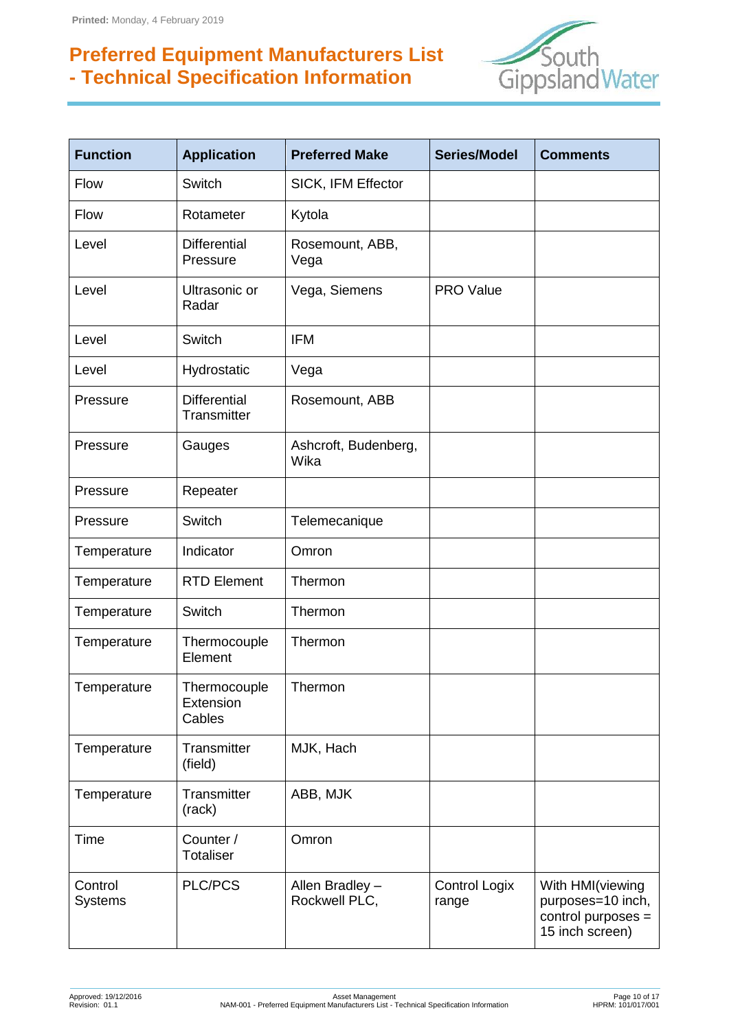

| <b>Function</b>           | <b>Application</b>                  | <b>Preferred Make</b>            | <b>Series/Model</b>           | <b>Comments</b>                                                                 |
|---------------------------|-------------------------------------|----------------------------------|-------------------------------|---------------------------------------------------------------------------------|
| <b>Flow</b>               | Switch                              | SICK, IFM Effector               |                               |                                                                                 |
| Flow                      | Rotameter                           | Kytola                           |                               |                                                                                 |
| Level                     | <b>Differential</b><br>Pressure     | Rosemount, ABB,<br>Vega          |                               |                                                                                 |
| Level                     | Ultrasonic or<br>Radar              | Vega, Siemens                    | PRO Value                     |                                                                                 |
| Level                     | Switch                              | <b>IFM</b>                       |                               |                                                                                 |
| Level                     | Hydrostatic                         | Vega                             |                               |                                                                                 |
| Pressure                  | <b>Differential</b><br>Transmitter  | Rosemount, ABB                   |                               |                                                                                 |
| Pressure                  | Gauges                              | Ashcroft, Budenberg,<br>Wika     |                               |                                                                                 |
| Pressure                  | Repeater                            |                                  |                               |                                                                                 |
| Pressure                  | Switch                              | Telemecanique                    |                               |                                                                                 |
| Temperature               | Indicator                           | Omron                            |                               |                                                                                 |
| Temperature               | <b>RTD Element</b>                  | Thermon                          |                               |                                                                                 |
| Temperature               | Switch                              | Thermon                          |                               |                                                                                 |
| Temperature               | Thermocouple<br>Element             | Thermon                          |                               |                                                                                 |
| Temperature               | Thermocouple<br>Extension<br>Cables | Thermon                          |                               |                                                                                 |
| Temperature               | Transmitter<br>(field)              | MJK, Hach                        |                               |                                                                                 |
| Temperature               | Transmitter<br>(rack)               | ABB, MJK                         |                               |                                                                                 |
| Time                      | Counter /<br><b>Totaliser</b>       | Omron                            |                               |                                                                                 |
| Control<br><b>Systems</b> | <b>PLC/PCS</b>                      | Allen Bradley -<br>Rockwell PLC, | <b>Control Logix</b><br>range | With HMI (viewing<br>purposes=10 inch,<br>control purposes =<br>15 inch screen) |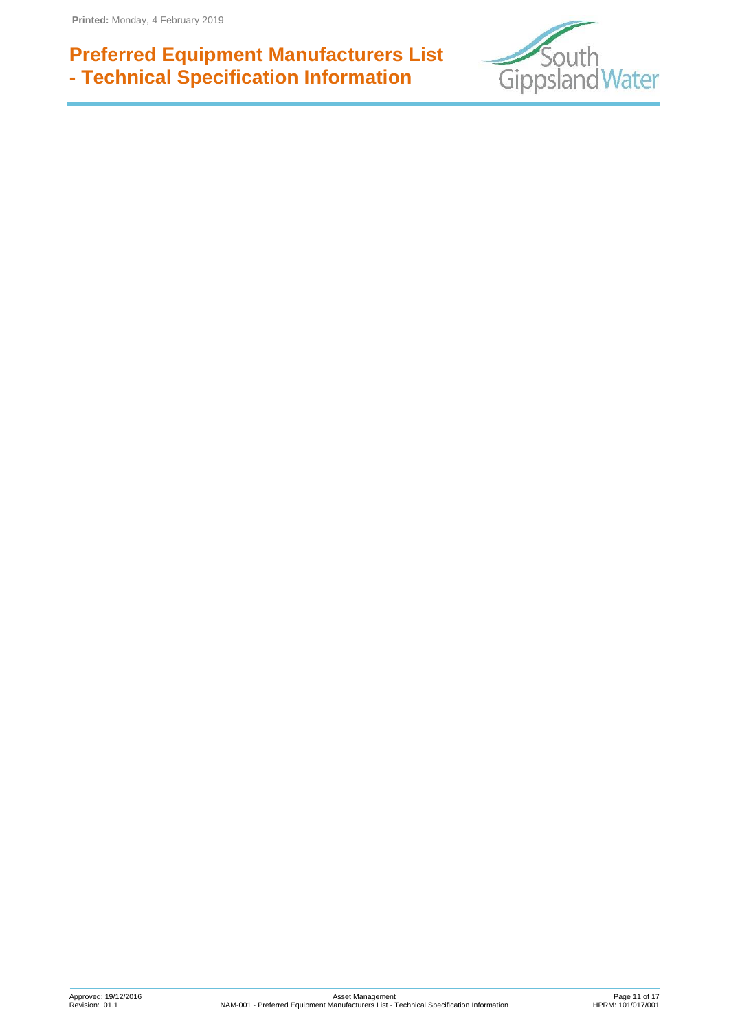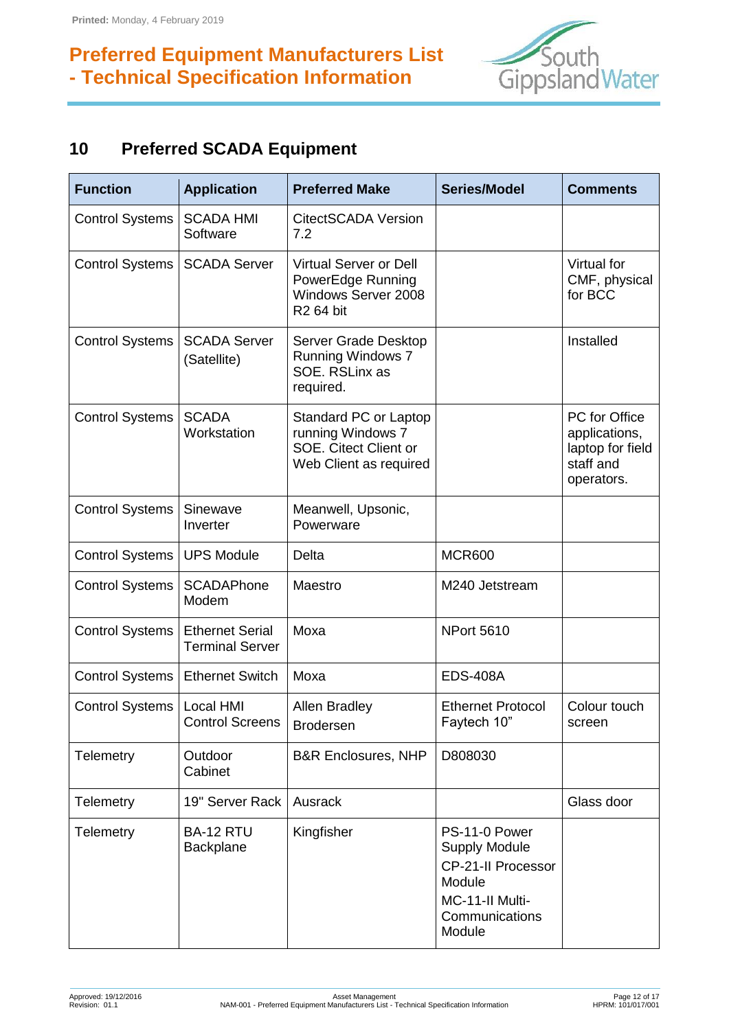

#### <span id="page-11-0"></span>**10 Preferred SCADA Equipment**

| <b>Function</b>        | <b>Application</b>                               | <b>Preferred Make</b>                                                                         | <b>Series/Model</b>                                                                                                         | <b>Comments</b>                                                               |
|------------------------|--------------------------------------------------|-----------------------------------------------------------------------------------------------|-----------------------------------------------------------------------------------------------------------------------------|-------------------------------------------------------------------------------|
| <b>Control Systems</b> | <b>SCADA HMI</b><br>Software                     | <b>CitectSCADA Version</b><br>7.2                                                             |                                                                                                                             |                                                                               |
| <b>Control Systems</b> | <b>SCADA Server</b>                              | <b>Virtual Server or Dell</b><br>PowerEdge Running<br>Windows Server 2008<br>R2 64 bit        |                                                                                                                             | Virtual for<br>CMF, physical<br>for BCC                                       |
| <b>Control Systems</b> | <b>SCADA Server</b><br>(Satellite)               | Server Grade Desktop<br><b>Running Windows 7</b><br>SOE. RSLinx as<br>required.               |                                                                                                                             | Installed                                                                     |
| <b>Control Systems</b> | <b>SCADA</b><br>Workstation                      | Standard PC or Laptop<br>running Windows 7<br>SOE. Citect Client or<br>Web Client as required |                                                                                                                             | PC for Office<br>applications,<br>laptop for field<br>staff and<br>operators. |
| <b>Control Systems</b> | Sinewave<br>Inverter                             | Meanwell, Upsonic,<br>Powerware                                                               |                                                                                                                             |                                                                               |
| <b>Control Systems</b> | <b>UPS Module</b>                                | Delta                                                                                         | <b>MCR600</b>                                                                                                               |                                                                               |
| <b>Control Systems</b> | <b>SCADAPhone</b><br>Modem                       | Maestro                                                                                       | M240 Jetstream                                                                                                              |                                                                               |
| <b>Control Systems</b> | <b>Ethernet Serial</b><br><b>Terminal Server</b> | Moxa                                                                                          | <b>NPort 5610</b>                                                                                                           |                                                                               |
| Control Systems        | <b>Ethernet Switch</b>                           | Moxa                                                                                          | <b>EDS-408A</b>                                                                                                             |                                                                               |
| Control Systems        | Local HMI<br><b>Control Screens</b>              | Allen Bradley<br><b>Brodersen</b>                                                             | <b>Ethernet Protocol</b><br>Faytech 10"                                                                                     | Colour touch<br>screen                                                        |
| Telemetry              | Outdoor<br>Cabinet                               | <b>B&amp;R Enclosures, NHP</b>                                                                | D808030                                                                                                                     |                                                                               |
| Telemetry              | 19" Server Rack                                  | Ausrack                                                                                       |                                                                                                                             | Glass door                                                                    |
| <b>Telemetry</b>       | BA-12 RTU<br><b>Backplane</b>                    | Kingfisher                                                                                    | PS-11-0 Power<br><b>Supply Module</b><br><b>CP-21-II Processor</b><br>Module<br>MC-11-II Multi-<br>Communications<br>Module |                                                                               |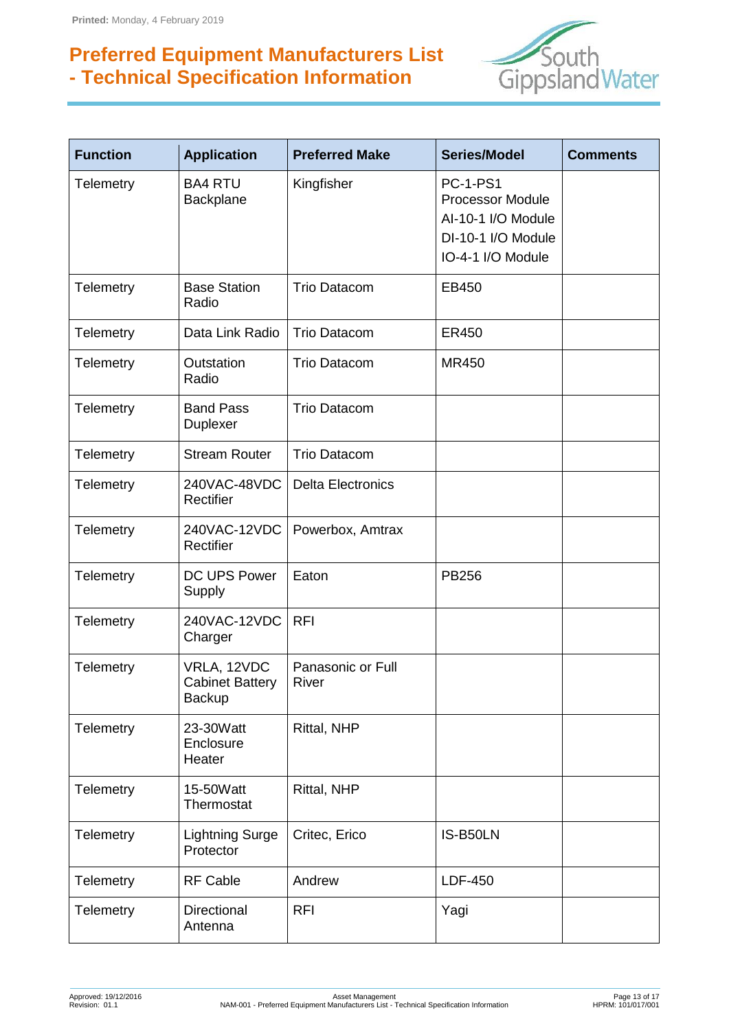

| <b>Function</b>  | <b>Application</b>                              | <b>Preferred Make</b>      | <b>Series/Model</b>                                                                                         | <b>Comments</b> |
|------------------|-------------------------------------------------|----------------------------|-------------------------------------------------------------------------------------------------------------|-----------------|
| Telemetry        | <b>BA4 RTU</b><br>Backplane                     | Kingfisher                 | <b>PC-1-PS1</b><br><b>Processor Module</b><br>Al-10-1 I/O Module<br>DI-10-1 I/O Module<br>IO-4-1 I/O Module |                 |
| <b>Telemetry</b> | <b>Base Station</b><br>Radio                    | <b>Trio Datacom</b>        | EB450                                                                                                       |                 |
| Telemetry        | Data Link Radio                                 | <b>Trio Datacom</b>        | <b>ER450</b>                                                                                                |                 |
| <b>Telemetry</b> | Outstation<br>Radio                             | <b>Trio Datacom</b>        | MR450                                                                                                       |                 |
| <b>Telemetry</b> | <b>Band Pass</b><br>Duplexer                    | <b>Trio Datacom</b>        |                                                                                                             |                 |
| <b>Telemetry</b> | <b>Stream Router</b>                            | <b>Trio Datacom</b>        |                                                                                                             |                 |
| <b>Telemetry</b> | 240VAC-48VDC<br>Rectifier                       | <b>Delta Electronics</b>   |                                                                                                             |                 |
| <b>Telemetry</b> | 240VAC-12VDC<br>Rectifier                       | Powerbox, Amtrax           |                                                                                                             |                 |
| <b>Telemetry</b> | DC UPS Power<br>Supply                          | Eaton                      | <b>PB256</b>                                                                                                |                 |
| <b>Telemetry</b> | 240VAC-12VDC<br>Charger                         | <b>RFI</b>                 |                                                                                                             |                 |
| <b>Telemetry</b> | VRLA, 12VDC<br><b>Cabinet Battery</b><br>Backup | Panasonic or Full<br>River |                                                                                                             |                 |
| Telemetry        | 23-30Watt<br>Enclosure<br>Heater                | Rittal, NHP                |                                                                                                             |                 |
| Telemetry        | 15-50Watt<br>Thermostat                         | Rittal, NHP                |                                                                                                             |                 |
| Telemetry        | <b>Lightning Surge</b><br>Protector             | Critec, Erico              | IS-B50LN                                                                                                    |                 |
| Telemetry        | <b>RF Cable</b>                                 | Andrew                     | <b>LDF-450</b>                                                                                              |                 |
| <b>Telemetry</b> | Directional<br>Antenna                          | <b>RFI</b>                 | Yagi                                                                                                        |                 |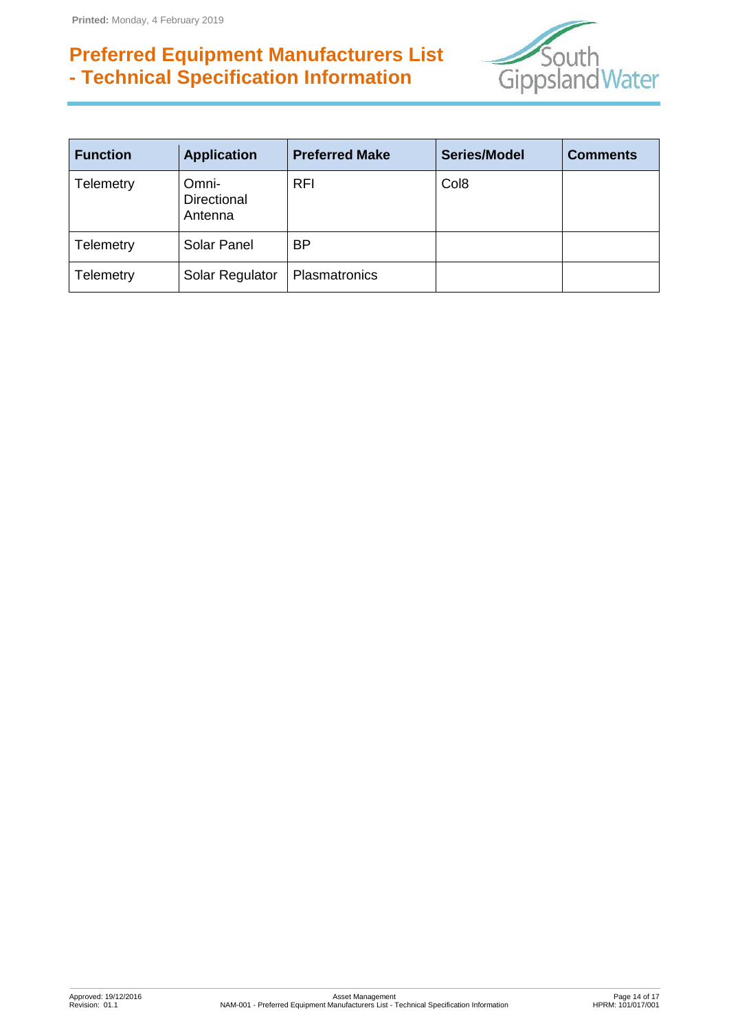

| <b>Function</b> | <b>Application</b>                     | <b>Preferred Make</b> | <b>Series/Model</b> | <b>Comments</b> |
|-----------------|----------------------------------------|-----------------------|---------------------|-----------------|
| Telemetry       | Omni-<br><b>Directional</b><br>Antenna | <b>RFI</b>            | Col <sub>8</sub>    |                 |
| Telemetry       | Solar Panel                            | <b>BP</b>             |                     |                 |
| Telemetry       | Solar Regulator                        | <b>Plasmatronics</b>  |                     |                 |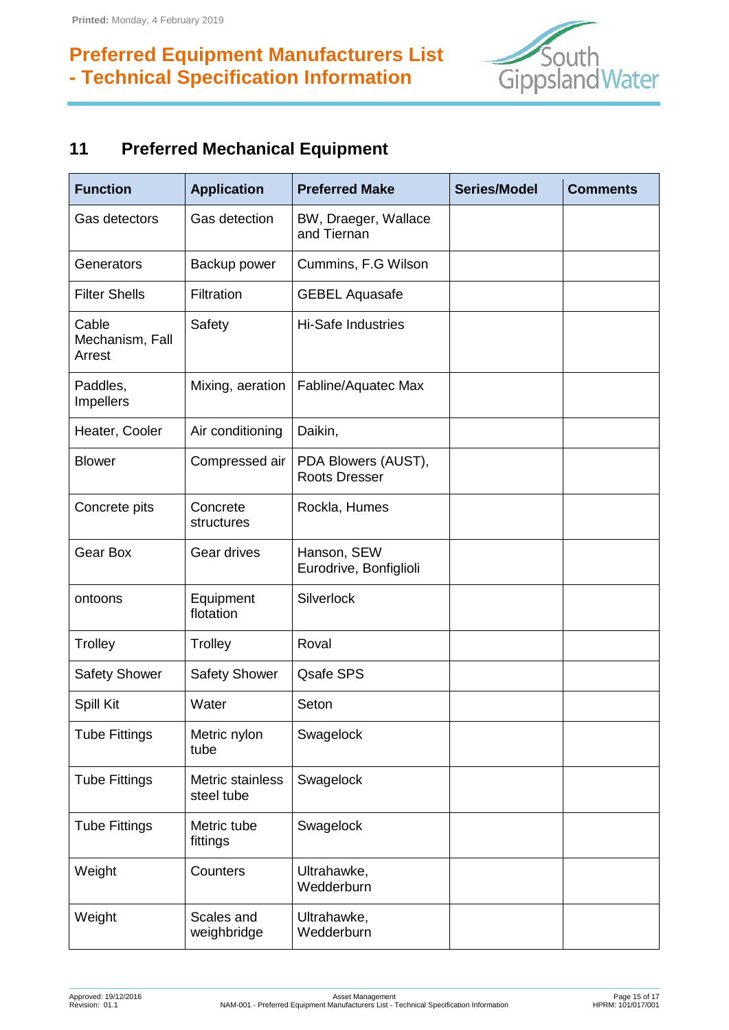

#### <span id="page-14-0"></span>**11 Preferred Mechanical Equipment**

| <b>Function</b>                    | <b>Application</b>             | <b>Preferred Make</b>                       | <b>Series/Model</b> | <b>Comments</b> |
|------------------------------------|--------------------------------|---------------------------------------------|---------------------|-----------------|
| Gas detectors                      | Gas detection                  | BW, Draeger, Wallace<br>and Tiernan         |                     |                 |
| Generators                         | Backup power                   | Cummins, F.G Wilson                         |                     |                 |
| <b>Filter Shells</b>               | Filtration                     | <b>GEBEL Aquasafe</b>                       |                     |                 |
| Cable<br>Mechanism, Fall<br>Arrest | Safety                         | <b>Hi-Safe Industries</b>                   |                     |                 |
| Paddles,<br>Impellers              | Mixing, aeration               | Fabline/Aquatec Max                         |                     |                 |
| Heater, Cooler                     | Air conditioning               | Daikin,                                     |                     |                 |
| <b>Blower</b>                      | Compressed air                 | PDA Blowers (AUST),<br><b>Roots Dresser</b> |                     |                 |
| Concrete pits                      | Concrete<br>structures         | Rockla, Humes                               |                     |                 |
| <b>Gear Box</b>                    | Gear drives                    | Hanson, SEW<br>Eurodrive, Bonfiglioli       |                     |                 |
| ontoons                            | Equipment<br>flotation         | Silverlock                                  |                     |                 |
| Trolley                            | Trolley                        | Roval                                       |                     |                 |
| <b>Safety Shower</b>               | <b>Safety Shower</b>           | Qsafe SPS                                   |                     |                 |
| Spill Kit                          | Water                          | Seton                                       |                     |                 |
| <b>Tube Fittings</b>               | Metric nylon<br>tube           | Swagelock                                   |                     |                 |
| <b>Tube Fittings</b>               | Metric stainless<br>steel tube | Swagelock                                   |                     |                 |
| <b>Tube Fittings</b>               | Metric tube<br>fittings        | Swagelock                                   |                     |                 |
| Weight                             | Counters                       | Ultrahawke,<br>Wedderburn                   |                     |                 |
| Weight                             | Scales and<br>weighbridge      | Ultrahawke,<br>Wedderburn                   |                     |                 |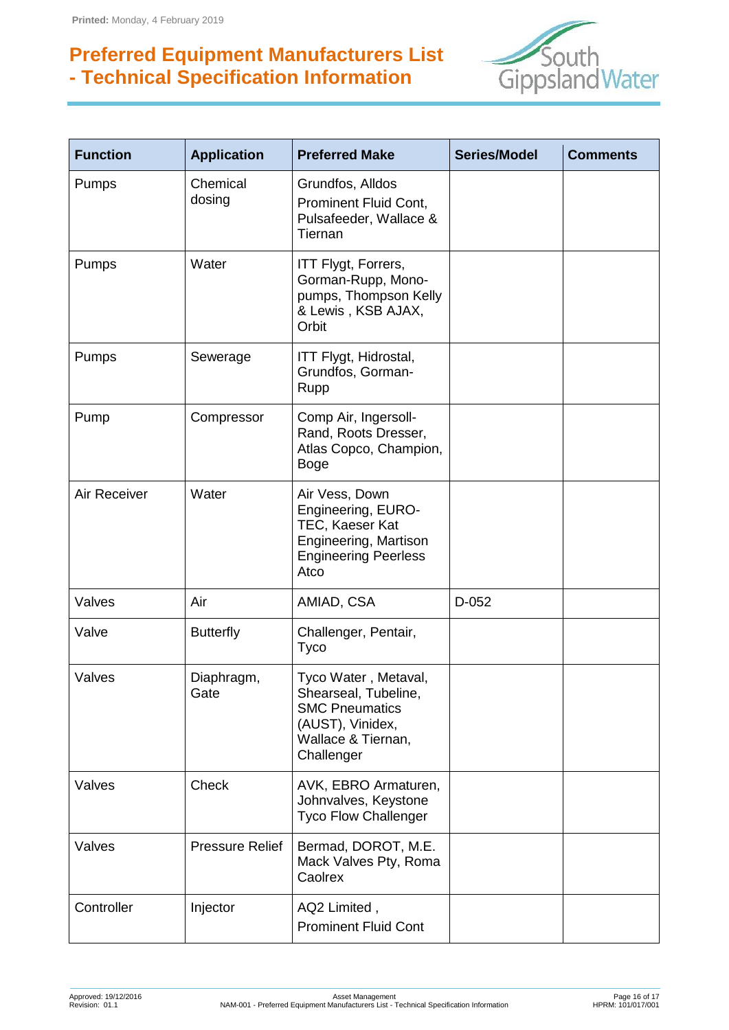

| <b>Function</b> | <b>Application</b>     | <b>Preferred Make</b>                                                                                                         | <b>Series/Model</b> | <b>Comments</b> |
|-----------------|------------------------|-------------------------------------------------------------------------------------------------------------------------------|---------------------|-----------------|
| Pumps           | Chemical<br>dosing     | Grundfos, Alldos<br>Prominent Fluid Cont,<br>Pulsafeeder, Wallace &<br>Tiernan                                                |                     |                 |
| Pumps           | Water                  | <b>ITT Flygt, Forrers,</b><br>Gorman-Rupp, Mono-<br>pumps, Thompson Kelly<br>& Lewis, KSB AJAX,<br>Orbit                      |                     |                 |
| Pumps           | Sewerage               | ITT Flygt, Hidrostal,<br>Grundfos, Gorman-<br>Rupp                                                                            |                     |                 |
| Pump            | Compressor             | Comp Air, Ingersoll-<br>Rand, Roots Dresser,<br>Atlas Copco, Champion,<br><b>Boge</b>                                         |                     |                 |
| Air Receiver    | Water                  | Air Vess, Down<br>Engineering, EURO-<br>TEC, Kaeser Kat<br>Engineering, Martison<br><b>Engineering Peerless</b><br>Atco       |                     |                 |
| Valves          | Air                    | AMIAD, CSA                                                                                                                    | $D-052$             |                 |
| Valve           | <b>Butterfly</b>       | Challenger, Pentair,<br>Tyco                                                                                                  |                     |                 |
| Valves          | Diaphragm,<br>Gate     | Tyco Water, Metaval,<br>Shearseal, Tubeline,<br><b>SMC Pneumatics</b><br>(AUST), Vinidex,<br>Wallace & Tiernan,<br>Challenger |                     |                 |
| Valves          | Check                  | AVK, EBRO Armaturen,<br>Johnvalves, Keystone<br><b>Tyco Flow Challenger</b>                                                   |                     |                 |
| Valves          | <b>Pressure Relief</b> | Bermad, DOROT, M.E.<br>Mack Valves Pty, Roma<br>Caolrex                                                                       |                     |                 |
| Controller      | Injector               | AQ2 Limited,<br><b>Prominent Fluid Cont</b>                                                                                   |                     |                 |